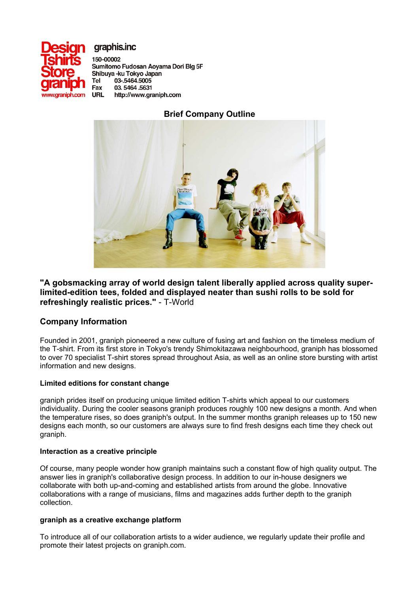

graphis.inc

150-00002 Sumitomo Fudosan Aoyama Dori Blg 5F Shibuya -ku Tokyo Japan 03-.5464.5005 **Tel** Fax 03.5464.5631 **URL** http://www.graniph.com

## **Brief Company Outline**



**"A gobsmacking array of world design talent liberally applied across quality superlimited-edition tees, folded and displayed neater than sushi rolls to be sold for refreshingly realistic prices."** - T-World

## **Company Information**

Founded in 2001, graniph pioneered a new culture of fusing art and fashion on the timeless medium of the T-shirt. From its first store in Tokyo's trendy Shimokitazawa neighbourhood, graniph has blossomed to over 70 specialist T-shirt stores spread throughout Asia, as well as an online store bursting with artist information and new designs.

### **Limited editions for constant change**

graniph prides itself on producing unique limited edition T-shirts which appeal to our customers individuality. During the cooler seasons graniph produces roughly 100 new designs a month. And when the temperature rises, so does graniph's output. In the summer months graniph releases up to 150 new designs each month, so our customers are always sure to find fresh designs each time they check out graniph.

### **Interaction as a creative principle**

Of course, many people wonder how graniph maintains such a constant flow of high quality output. The answer lies in graniph's collaborative design process. In addition to our in-house designers we collaborate with both up-and-coming and established artists from around the globe. Innovative collaborations with a range of musicians, films and magazines adds further depth to the graniph collection.

### **graniph as a creative exchange platform**

To introduce all of our collaboration artists to a wider audience, we regularly update their profile and promote their latest projects on graniph.com.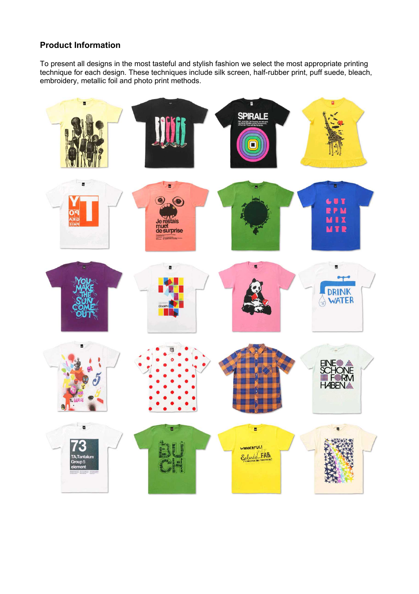# **Product Information**

To present all designs in the most tasteful and stylish fashion we select the most appropriate printing technique for each design. These techniques include silk screen, half-rubber print, puff suede, bleach, embroidery, metallic foil and photo print methods.

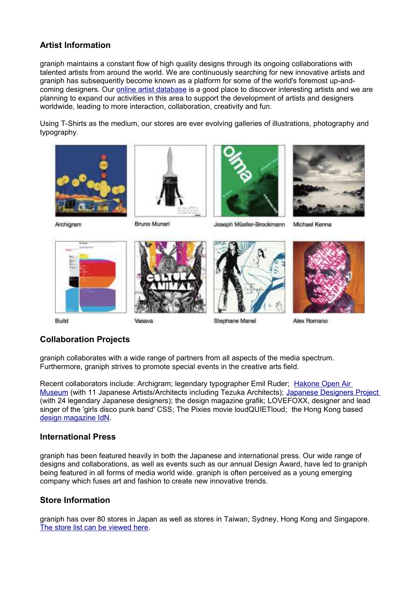## **Artist Information**

graniph maintains a constant flow of high quality designs through its ongoing collaborations with talented artists from around the world. We are continuously searching for new innovative artists and graniph has subsequently become known as a platform for some of the world's foremost up-andcoming designers. Our [online artist database](http://www.graniph.com/en/artist/index.html) is a good place to discover interesting artists and we are planning to expand our activities in this area to support the development of artists and designers worldwide, leading to more interaction, collaboration, creativity and fun.

Using T-Shirts as the medium, our stores are ever evolving galleries of illustrations, photography and typography.



Archigram



Bruno Munari

Vasava

















## **Collaboration Projects**

graniph collaborates with a wide range of partners from all aspects of the media spectrum. Furthermore, graniph strives to promote special events in the creative arts field.

Recent collaborators include: Archigram; legendary typographer Emil Ruder; [Hakone Open Air](http://www.graniph.com/en/collaboration/hakone/index.html) [Museum](http://www.graniph.com/en/collaboration/hakone/index.html) (with 11 Japanese Artists/Architects including Tezuka Architects); [Japanese Designers Project](http://www.graniph.com/en/collaboration/japanese_designers_project/index.html) (with 24 legendary Japanese designers); the design magazine grafik; LOVEFOXX, designer and lead singer of the 'girls disco punk band' CSS; The Pixies movie loudQUIETloud; the Hong Kong based [design magazine IdN.](http://www.graniph.com/en/news/archives/04/2008/index.html#20080415_1)

### **International Press**

graniph has been featured heavily in both the Japanese and international press. Our wide range of designs and collaborations, as well as events such as our annual Design Award, have led to graniph being featured in all forms of media world wide. graniph is often perceived as a young emerging company which fuses art and fashion to create new innovative trends.

### **Store Information**

graniph has over 80 stores in Japan as well as stores in Taiwan, Sydney, Hong Kong and Singapore. [The store list can be viewed here.](http://www.graniph.com/en/shoplist/index.html)